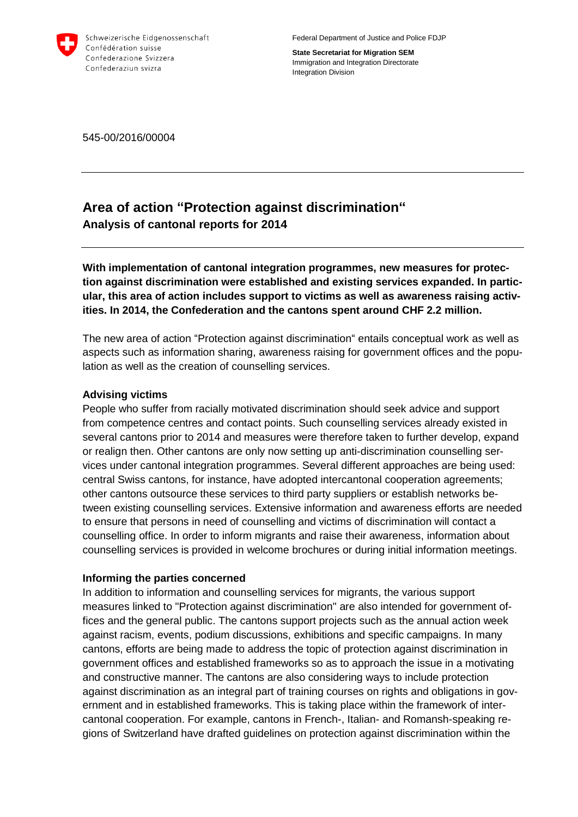

Federal Department of Justice and Police FDJP

**State Secretariat for Migration SEM** Immigration and Integration Directorate Integration Division

545-00/2016/00004

# **Area of action "Protection against discrimination" Analysis of cantonal reports for 2014**

**With implementation of cantonal integration programmes, new measures for protection against discrimination were established and existing services expanded. In particular, this area of action includes support to victims as well as awareness raising activities. In 2014, the Confederation and the cantons spent around CHF 2.2 million.** 

The new area of action "Protection against discrimination" entails conceptual work as well as aspects such as information sharing, awareness raising for government offices and the population as well as the creation of counselling services.

## **Advising victims**

People who suffer from racially motivated discrimination should seek advice and support from competence centres and contact points. Such counselling services already existed in several cantons prior to 2014 and measures were therefore taken to further develop, expand or realign then. Other cantons are only now setting up anti-discrimination counselling services under cantonal integration programmes. Several different approaches are being used: central Swiss cantons, for instance, have adopted intercantonal cooperation agreements; other cantons outsource these services to third party suppliers or establish networks between existing counselling services. Extensive information and awareness efforts are needed to ensure that persons in need of counselling and victims of discrimination will contact a counselling office. In order to inform migrants and raise their awareness, information about counselling services is provided in welcome brochures or during initial information meetings.

## **Informing the parties concerned**

In addition to information and counselling services for migrants, the various support measures linked to "Protection against discrimination" are also intended for government offices and the general public. The cantons support projects such as the annual action week against racism, events, podium discussions, exhibitions and specific campaigns. In many cantons, efforts are being made to address the topic of protection against discrimination in government offices and established frameworks so as to approach the issue in a motivating and constructive manner. The cantons are also considering ways to include protection against discrimination as an integral part of training courses on rights and obligations in government and in established frameworks. This is taking place within the framework of intercantonal cooperation. For example, cantons in French-, Italian- and Romansh-speaking regions of Switzerland have drafted guidelines on protection against discrimination within the